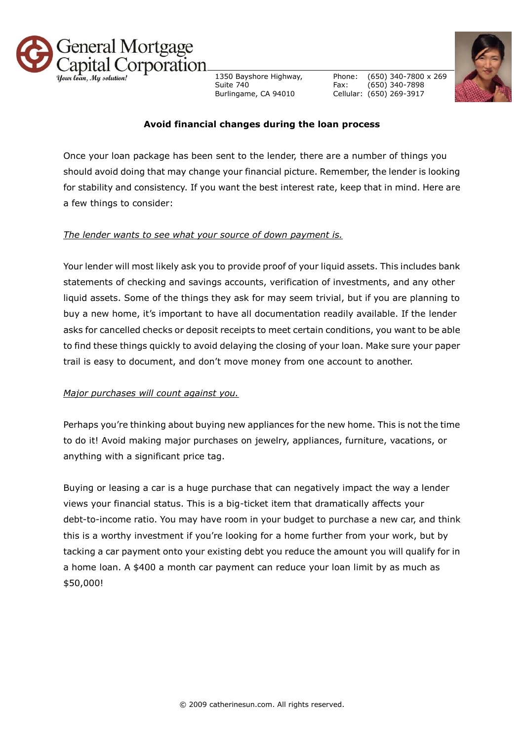

1350 Bayshore Highway, Suite 740 Burlingame, CA 94010

Phone: Fax: Cellular: (650) 269-3917 (650) 340-7800 x 269 (650) 340-7898



## **Avoid financial changes during the loan process**

Once your loan package has been sent to the lender, there are a number of things you should avoid doing that may change your financial picture. Remember, the lender is looking for stability and consistency. If you want the best interest rate, keep that in mind. Here are a few things to consider:

## *The lender wants to see what your source of down payment is.*

Your lender will most likely ask you to provide proof of your liquid assets. This includes bank statements of checking and savings accounts, verification of investments, and any other liquid assets. Some of the things they ask for may seem trivial, but if you are planning to buy a new home, it's important to have all documentation readily available. If the lender asks for cancelled checks or deposit receipts to meet certain conditions, you want to be able to find these things quickly to avoid delaying the closing of your loan. Make sure your paper trail is easy to document, and don't move money from one account to another.

## *Major purchases will count against you.*

Perhaps you're thinking about buying new appliances for the new home. This is not the time to do it! Avoid making major purchases on jewelry, appliances, furniture, vacations, or anything with a significant price tag.

Buying or leasing a car is a huge purchase that can negatively impact the way a lender views your financial status. This is a big-ticket item that dramatically affects your debt-to-income ratio. You may have room in your budget to purchase a new car, and think this is a worthy investment if you're looking for a home further from your work, but by tacking a car payment onto your existing debt you reduce the amount you will qualify for in a home loan. A \$400 a month car payment can reduce your loan limit by as much as \$50,000!